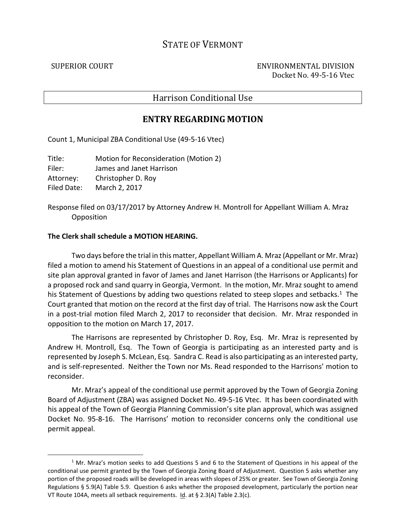## STATE OF VERMONT

.

SUPERIOR COURT ENVIRONMENTAL DIVISION Docket No. 49-5-16 Vtec

## Harrison Conditional Use

## **ENTRY REGARDING MOTION**

Count 1, Municipal ZBA Conditional Use (49-5-16 Vtec)

Title: Motion for Reconsideration (Motion 2) Filer: James and Janet Harrison Attorney: Christopher D. Roy Filed Date: March 2, 2017

Response filed on 03/17/2017 by Attorney Andrew H. Montroll for Appellant William A. Mraz **Opposition** 

## **The Clerk shall schedule a MOTION HEARING.**

 Two days before the trial in this matter, Appellant William A. Mraz (Appellant or Mr. Mraz) filed a motion to amend his Statement of Questions in an appeal of a conditional use permit and site plan approval granted in favor of James and Janet Harrison (the Harrisons or Applicants) for a proposed rock and sand quarry in Georgia, Vermont. In the motion, Mr. Mraz sought to amend his Statement of Questions by adding two questions related to steep slopes and setbacks.<sup>1</sup> The Court granted that motion on the record at the first day of trial. The Harrisons now ask the Court in a post-trial motion filed March 2, 2017 to reconsider that decision. Mr. Mraz responded in opposition to the motion on March 17, 2017.

The Harrisons are represented by Christopher D. Roy, Esq. Mr. Mraz is represented by Andrew H. Montroll, Esq. The Town of Georgia is participating as an interested party and is represented by Joseph S. McLean, Esq. Sandra C. Read is also participating as an interested party, and is self-represented. Neither the Town nor Ms. Read responded to the Harrisons' motion to reconsider.

Mr. Mraz's appeal of the conditional use permit approved by the Town of Georgia Zoning Board of Adjustment (ZBA) was assigned Docket No. 49-5-16 Vtec. It has been coordinated with his appeal of the Town of Georgia Planning Commission's site plan approval, which was assigned Docket No. 95-8-16. The Harrisons' motion to reconsider concerns only the conditional use permit appeal.

 $<sup>1</sup>$  Mr. Mraz's motion seeks to add Questions 5 and 6 to the Statement of Questions in his appeal of the</sup> conditional use permit granted by the Town of Georgia Zoning Board of Adjustment. Question 5 asks whether any portion of the proposed roads will be developed in areas with slopes of 25% or greater. See Town of Georgia Zoning Regulations § 5.9(A) Table 5.9. Question 6 asks whether the proposed development, particularly the portion near VT Route 104A, meets all setback requirements. Id. at § 2.3(A) Table 2.3(c).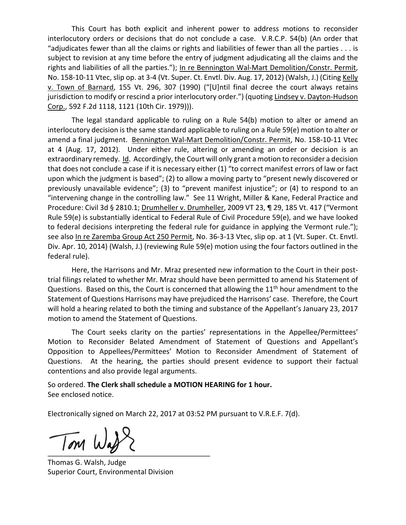This Court has both explicit and inherent power to address motions to reconsider interlocutory orders or decisions that do not conclude a case. V.R.C.P. 54(b) (An order that "adjudicates fewer than all the claims or rights and liabilities of fewer than all the parties . . . is subject to revision at any time before the entry of judgment adjudicating all the claims and the rights and liabilities of all the parties."); In re Bennington Wal-Mart Demolition/Constr. Permit, No. 158-10-11 Vtec, slip op. at 3-4 (Vt. Super. Ct. Envtl. Div. Aug. 17, 2012) (Walsh, J.) (Citing Kelly v. Town of Barnard, 155 Vt. 296, 307 (1990) ("[U]ntil final decree the court always retains jurisdiction to modify or rescind a prior interlocutory order.") (quoting Lindsey v. Dayton-Hudson Corp., 592 F.2d 1118, 1121 (10th Cir. 1979))).

The legal standard applicable to ruling on a Rule 54(b) motion to alter or amend an interlocutory decision is the same standard applicable to ruling on a Rule 59(e) motion to alter or amend a final judgment. Bennington Wal-Mart Demolition/Constr. Permit, No. 158-10-11 Vtec at 4 (Aug. 17, 2012). Under either rule, altering or amending an order or decision is an extraordinary remedy. Id. Accordingly, the Court will only grant a motion to reconsider a decision that does not conclude a case if it is necessary either (1) "to correct manifest errors of law or fact upon which the judgment is based"; (2) to allow a moving party to "present newly discovered or previously unavailable evidence"; (3) to "prevent manifest injustice"; or (4) to respond to an "intervening change in the controlling law." See 11 Wright, Miller & Kane, Federal Practice and Procedure: Civil 3d § 2810.1; Drumheller v. Drumheller, 2009 VT 23, ¶ 29, 185 Vt. 417 ("Vermont Rule 59(e) is substantially identical to Federal Rule of Civil Procedure 59(e), and we have looked to federal decisions interpreting the federal rule for guidance in applying the Vermont rule."); see also In re Zaremba Group Act 250 Permit, No. 36-3-13 Vtec, slip op. at 1 (Vt. Super. Ct. Envtl. Div. Apr. 10, 2014) (Walsh, J.) (reviewing Rule 59(e) motion using the four factors outlined in the federal rule).

Here, the Harrisons and Mr. Mraz presented new information to the Court in their posttrial filings related to whether Mr. Mraz should have been permitted to amend his Statement of Questions. Based on this, the Court is concerned that allowing the  $11<sup>th</sup>$  hour amendment to the Statement of Questions Harrisons may have prejudiced the Harrisons' case. Therefore, the Court will hold a hearing related to both the timing and substance of the Appellant's January 23, 2017 motion to amend the Statement of Questions.

The Court seeks clarity on the parties' representations in the Appellee/Permittees' Motion to Reconsider Belated Amendment of Statement of Questions and Appellant's Opposition to Appellees/Permittees' Motion to Reconsider Amendment of Statement of Questions. At the hearing, the parties should present evidence to support their factual contentions and also provide legal arguments.

So ordered. **The Clerk shall schedule a MOTION HEARING for 1 hour.** See enclosed notice.

Electronically signed on March 22, 2017 at 03:52 PM pursuant to V.R.E.F. 7(d).

 $\overline{\phantom{a}}$ 

Thomas G. Walsh, Judge Superior Court, Environmental Division